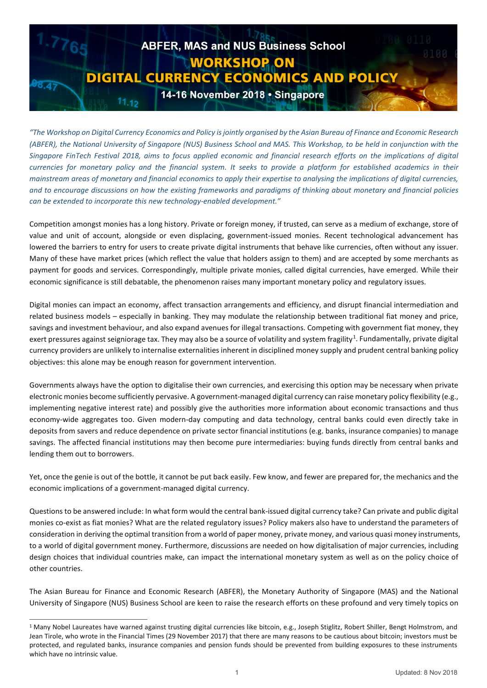

*"The Workshop on Digital Currency Economics and Policy is jointly organised by the Asian Bureau of Finance and Economic Research (ABFER), the National University of Singapore (NUS) Business School and MAS. This Workshop, to be held in conjunction with the Singapore FinTech Festival 2018, aims to focus applied economic and financial research efforts on the implications of digital currencies for monetary policy and the financial system. It seeks to provide a platform for established academics in their mainstream areas of monetary and financial economics to apply their expertise to analysing the implications of digital currencies, and to encourage discussions on how the existing frameworks and paradigms of thinking about monetary and financial policies can be extended to incorporate this new technology-enabled development."*

Competition amongst monies has a long history. Private or foreign money, if trusted, can serve as a medium of exchange, store of value and unit of account, alongside or even displacing, government-issued monies. Recent technological advancement has lowered the barriers to entry for users to create private digital instruments that behave like currencies, often without any issuer. Many of these have market prices (which reflect the value that holders assign to them) and are accepted by some merchants as payment for goods and services. Correspondingly, multiple private monies, called digital currencies, have emerged. While their economic significance is still debatable, the phenomenon raises many important monetary policy and regulatory issues.

Digital monies can impact an economy, affect transaction arrangements and efficiency, and disrupt financial intermediation and related business models – especially in banking. They may modulate the relationship between traditional fiat money and price, savings and investment behaviour, and also expand avenues for illegal transactions. Competing with government fiat money, they exert pressures against seigniorage tax. They may also be a source of volatility and system fragility<sup>[1](#page-0-0)</sup>. Fundamentally, private digital currency providers are unlikely to internalise externalities inherent in disciplined money supply and prudent central banking policy objectives: this alone may be enough reason for government intervention.

Governments always have the option to digitalise their own currencies, and exercising this option may be necessary when private electronic monies become sufficiently pervasive. A government-managed digital currency can raise monetary policy flexibility (e.g., implementing negative interest rate) and possibly give the authorities more information about economic transactions and thus economy-wide aggregates too. Given modern-day computing and data technology, central banks could even directly take in deposits from savers and reduce dependence on private sector financial institutions (e.g. banks, insurance companies) to manage savings. The affected financial institutions may then become pure intermediaries: buying funds directly from central banks and lending them out to borrowers.

Yet, once the genie is out of the bottle, it cannot be put back easily. Few know, and fewer are prepared for, the mechanics and the economic implications of a government-managed digital currency.

Questions to be answered include: In what form would the central bank-issued digital currency take? Can private and public digital monies co-exist as fiat monies? What are the related regulatory issues? Policy makers also have to understand the parameters of consideration in deriving the optimal transition from a world of paper money, private money, and various quasi money instruments, to a world of digital government money. Furthermore, discussions are needed on how digitalisation of major currencies, including design choices that individual countries make, can impact the international monetary system as well as on the policy choice of other countries.

The Asian Bureau for Finance and Economic Research (ABFER), the Monetary Authority of Singapore (MAS) and the National University of Singapore (NUS) Business School are keen to raise the research efforts on these profound and very timely topics on

-

<span id="page-0-0"></span><sup>&</sup>lt;sup>1</sup> Many Nobel Laureates have warned against trusting digital currencies like bitcoin, e.g., Joseph Stiglitz, Robert Shiller, Bengt Holmstrom, and Jean Tirole, who wrote in the Financial Times (29 November 2017) that there are many reasons to be cautious about bitcoin; investors must be protected, and regulated banks, insurance companies and pension funds should be prevented from building exposures to these instruments which have no intrinsic value.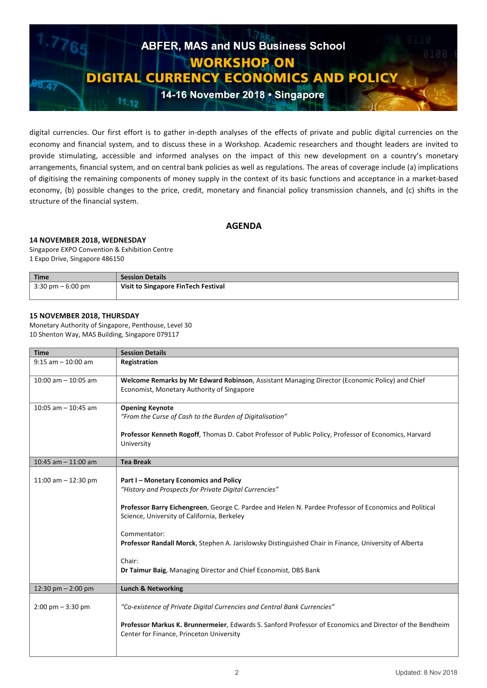

digital currencies. Our first effort is to gather in-depth analyses of the effects of private and public digital currencies on the economy and financial system, and to discuss these in a Workshop. Academic researchers and thought leaders are invited to provide stimulating, accessible and informed analyses on the impact of this new development on a country's monetary arrangements, financial system, and on central bank policies as well as regulations. The areas of coverage include (a) implications of digitising the remaining components of money supply in the context of its basic functions and acceptance in a market-based economy, (b) possible changes to the price, credit, monetary and financial policy transmission channels, and (c) shifts in the structure of the financial system.

# **AGENDA**

# **14 NOVEMBER 2018, WEDNESDAY**

Singapore EXPO Convention & Exhibition Centre 1 Expo Drive, Singapore 486150

| $\mid$ Time                   | <b>Session Details</b>              |
|-------------------------------|-------------------------------------|
| $^{\prime}$ 3:30 pm – 6:00 pm | Visit to Singapore FinTech Festival |

# **15 NOVEMBER 2018, THURSDAY**

Monetary Authority of Singapore, Penthouse, Level 30 10 Shenton Way, MAS Building, Singapore 079117

| <b>Time</b>                         | <b>Session Details</b>                                                                                                                                                                                                                                                                                                                                                                                                                                          |
|-------------------------------------|-----------------------------------------------------------------------------------------------------------------------------------------------------------------------------------------------------------------------------------------------------------------------------------------------------------------------------------------------------------------------------------------------------------------------------------------------------------------|
| $9:15$ am $-10:00$ am               | Registration                                                                                                                                                                                                                                                                                                                                                                                                                                                    |
| $10:00$ am $- 10:05$ am             | Welcome Remarks by Mr Edward Robinson, Assistant Managing Director (Economic Policy) and Chief<br>Economist, Monetary Authority of Singapore                                                                                                                                                                                                                                                                                                                    |
| $10:05$ am $- 10:45$ am             | <b>Opening Keynote</b><br>"From the Curse of Cash to the Burden of Digitalisation"                                                                                                                                                                                                                                                                                                                                                                              |
|                                     | Professor Kenneth Rogoff, Thomas D. Cabot Professor of Public Policy, Professor of Economics, Harvard<br>University                                                                                                                                                                                                                                                                                                                                             |
| 10:45 am $-$ 11:00 am               | <b>Tea Break</b>                                                                                                                                                                                                                                                                                                                                                                                                                                                |
| 11:00 am $-$ 12:30 pm               | Part I - Monetary Economics and Policy<br>"History and Prospects for Private Digital Currencies"<br>Professor Barry Eichengreen, George C. Pardee and Helen N. Pardee Professor of Economics and Political<br>Science, University of California, Berkeley<br>Commentator:<br>Professor Randall Morck, Stephen A. Jarislowsky Distinguished Chair in Finance, University of Alberta<br>Chair:<br>Dr Taimur Baig, Managing Director and Chief Economist, DBS Bank |
| 12:30 pm $- 2:00$ pm                | <b>Lunch &amp; Networking</b>                                                                                                                                                                                                                                                                                                                                                                                                                                   |
| $2:00 \text{ pm} - 3:30 \text{ pm}$ | "Co-existence of Private Digital Currencies and Central Bank Currencies"<br>Professor Markus K. Brunnermeier, Edwards S. Sanford Professor of Economics and Director of the Bendheim<br>Center for Finance, Princeton University                                                                                                                                                                                                                                |
|                                     |                                                                                                                                                                                                                                                                                                                                                                                                                                                                 |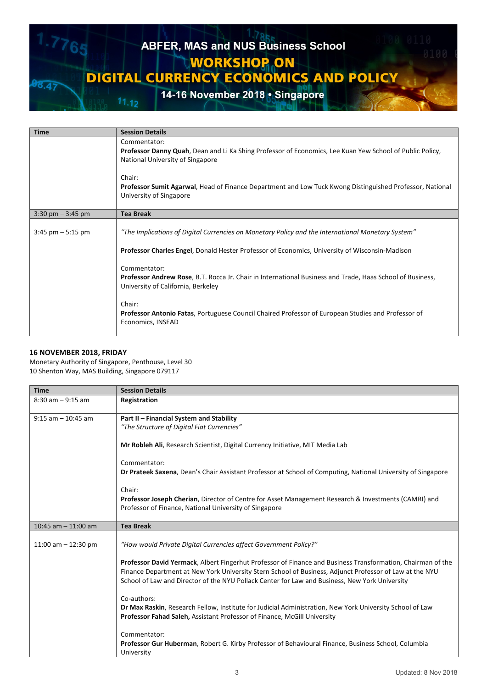

| <b>Time</b>                         | <b>Session Details</b>                                                                                                                                                                                                                                                                                                                                                                                                                                                                                      |
|-------------------------------------|-------------------------------------------------------------------------------------------------------------------------------------------------------------------------------------------------------------------------------------------------------------------------------------------------------------------------------------------------------------------------------------------------------------------------------------------------------------------------------------------------------------|
|                                     | Commentator:<br>Professor Danny Quah, Dean and Li Ka Shing Professor of Economics, Lee Kuan Yew School of Public Policy,<br>National University of Singapore                                                                                                                                                                                                                                                                                                                                                |
|                                     | Chair:<br>Professor Sumit Agarwal, Head of Finance Department and Low Tuck Kwong Distinguished Professor, National<br>University of Singapore                                                                                                                                                                                                                                                                                                                                                               |
| $3:30 \text{ pm} - 3:45 \text{ pm}$ | <b>Tea Break</b>                                                                                                                                                                                                                                                                                                                                                                                                                                                                                            |
| $3:45$ pm $-5:15$ pm                | "The Implications of Digital Currencies on Monetary Policy and the International Monetary System"<br>Professor Charles Engel, Donald Hester Professor of Economics, University of Wisconsin-Madison<br>Commentator:<br>Professor Andrew Rose, B.T. Rocca Jr. Chair in International Business and Trade, Haas School of Business,<br>University of California, Berkeley<br>Chair:<br>Professor Antonio Fatas, Portuguese Council Chaired Professor of European Studies and Professor of<br>Economics, INSEAD |

# **16 NOVEMBER 2018, FRIDAY**

Monetary Authority of Singapore, Penthouse, Level 30 10 Shenton Way, MAS Building, Singapore 079117

| <b>Time</b>           | <b>Session Details</b>                                                                                                                                                                                                                                                                                                   |
|-----------------------|--------------------------------------------------------------------------------------------------------------------------------------------------------------------------------------------------------------------------------------------------------------------------------------------------------------------------|
| $8:30$ am $-9:15$ am  | Registration                                                                                                                                                                                                                                                                                                             |
| $9:15$ am $-10:45$ am | Part II - Financial System and Stability                                                                                                                                                                                                                                                                                 |
|                       | "The Structure of Digital Fiat Currencies"                                                                                                                                                                                                                                                                               |
|                       | Mr Robleh Ali, Research Scientist, Digital Currency Initiative, MIT Media Lab                                                                                                                                                                                                                                            |
|                       | Commentator:                                                                                                                                                                                                                                                                                                             |
|                       | Dr Prateek Saxena, Dean's Chair Assistant Professor at School of Computing, National University of Singapore                                                                                                                                                                                                             |
|                       | Chair:                                                                                                                                                                                                                                                                                                                   |
|                       | Professor Joseph Cherian, Director of Centre for Asset Management Research & Investments (CAMRI) and<br>Professor of Finance, National University of Singapore                                                                                                                                                           |
| 10:45 am $-$ 11:00 am | <b>Tea Break</b>                                                                                                                                                                                                                                                                                                         |
| 11:00 am $-$ 12:30 pm | "How would Private Digital Currencies affect Government Policy?"                                                                                                                                                                                                                                                         |
|                       | Professor David Yermack, Albert Fingerhut Professor of Finance and Business Transformation, Chairman of the<br>Finance Department at New York University Stern School of Business, Adjunct Professor of Law at the NYU<br>School of Law and Director of the NYU Pollack Center for Law and Business, New York University |
|                       | Co-authors:                                                                                                                                                                                                                                                                                                              |
|                       | Dr Max Raskin, Research Fellow, Institute for Judicial Administration, New York University School of Law                                                                                                                                                                                                                 |
|                       | Professor Fahad Saleh, Assistant Professor of Finance, McGill University                                                                                                                                                                                                                                                 |
|                       | Commentator:                                                                                                                                                                                                                                                                                                             |
|                       | Professor Gur Huberman, Robert G. Kirby Professor of Behavioural Finance, Business School, Columbia<br>University                                                                                                                                                                                                        |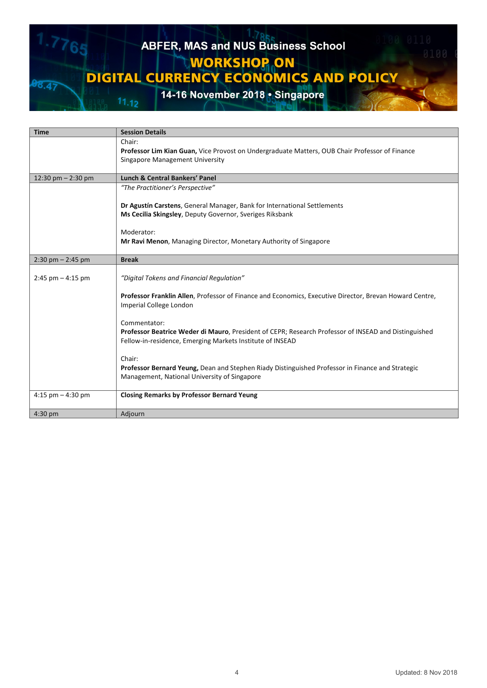# ABFER, MAS and NUS Business School 765 **WORKSHOP ON DIGITAL CURRENCY ECONOMICS AND POLICY**  $38.47$ 14-16 November 2018 • Singapore

|                       | <b>Session Details</b>                                                                                  |
|-----------------------|---------------------------------------------------------------------------------------------------------|
|                       | Chair:                                                                                                  |
|                       | Professor Lim Kian Guan, Vice Provost on Undergraduate Matters, OUB Chair Professor of Finance          |
|                       | Singapore Management University                                                                         |
|                       |                                                                                                         |
| 12:30 pm $-$ 2:30 pm  | <b>Lunch &amp; Central Bankers' Panel</b>                                                               |
|                       | "The Practitioner's Perspective"                                                                        |
|                       |                                                                                                         |
|                       | Dr Agustín Carstens, General Manager, Bank for International Settlements                                |
|                       | Ms Cecilia Skingsley, Deputy Governor, Sveriges Riksbank                                                |
|                       |                                                                                                         |
|                       | Moderator:                                                                                              |
|                       | Mr Ravi Menon, Managing Director, Monetary Authority of Singapore                                       |
| $2:30$ pm $- 2:45$ pm | <b>Break</b>                                                                                            |
|                       |                                                                                                         |
| $2:45$ pm $-4:15$ pm  | "Digital Tokens and Financial Regulation"                                                               |
|                       |                                                                                                         |
|                       | Professor Franklin Allen, Professor of Finance and Economics, Executive Director, Brevan Howard Centre, |
|                       | Imperial College London                                                                                 |
|                       |                                                                                                         |
|                       | Commentator:                                                                                            |
|                       | Professor Beatrice Weder di Mauro, President of CEPR; Research Professor of INSEAD and Distinguished    |
|                       | Fellow-in-residence, Emerging Markets Institute of INSEAD                                               |
|                       | Chair:                                                                                                  |
|                       | Professor Bernard Yeung, Dean and Stephen Riady Distinguished Professor in Finance and Strategic        |
|                       | Management, National University of Singapore                                                            |
|                       |                                                                                                         |
| 4:15 pm $-$ 4:30 pm   | <b>Closing Remarks by Professor Bernard Yeung</b>                                                       |
|                       |                                                                                                         |
| $4:30$ pm             | Adjourn                                                                                                 |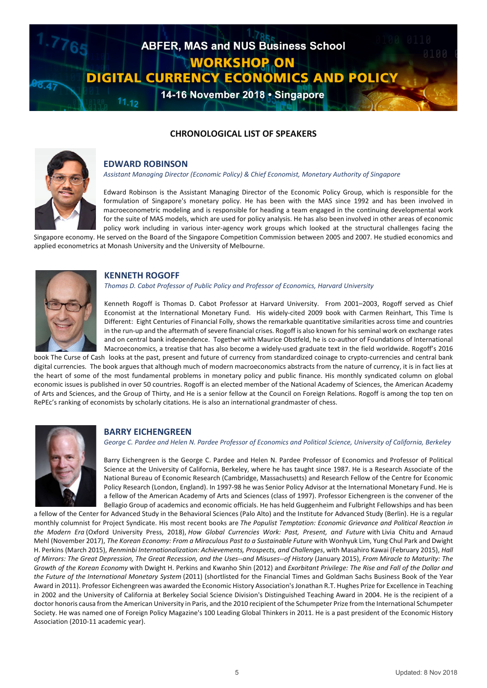

# **CHRONOLOGICAL LIST OF SPEAKERS**



## **EDWARD ROBINSON**

*Assistant Managing Director (Economic Policy) & Chief Economist, Monetary Authority of Singapore*

Edward Robinson is the Assistant Managing Director of the Economic Policy Group, which is responsible for the formulation of Singapore's monetary policy. He has been with the MAS since 1992 and has been involved in macroeconometric modeling and is responsible for heading a team engaged in the continuing developmental work for the suite of MAS models, which are used for policy analysis. He has also been involved in other areas of economic policy work including in various inter-agency work groups which looked at the structural challenges facing the

Singapore economy. He served on the Board of the Singapore Competition Commission between 2005 and 2007. He studied economics and applied econometrics at Monash University and the University of Melbourne.



#### **KENNETH ROGOFF**

*Thomas D. Cabot Professor of Public Policy and Professor of Economics, Harvard University*

Kenneth Rogoff is Thomas D. Cabot Professor at Harvard University. From 2001–2003, Rogoff served as Chief Economist at the International Monetary Fund. His widely-cited 2009 book with Carmen Reinhart, This Time Is Different: Eight Centuries of Financial Folly, shows the remarkable quantitative similarities across time and countries in the run-up and the aftermath of severe financial crises. Rogoff is also known for his seminal work on exchange rates and on central bank independence. Together with Maurice Obstfeld, he is co-author of Foundations of International Macroeconomics, a treatise that has also become a widely-used graduate text in the field worldwide. Rogoff's 2016

book The Curse of Cash looks at the past, present and future of currency from standardized coinage to crypto-currencies and central bank digital currencies. The book argues that although much of modern macroeconomics abstracts from the nature of currency, it is in fact lies at the heart of some of the most fundamental problems in monetary policy and public finance. His monthly syndicated column on global economic issues is published in over 50 countries. Rogoff is an elected member of the National Academy of Sciences, the American Academy of Arts and Sciences, and the Group of Thirty, and He is a senior fellow at the Council on Foreign Relations. Rogoff is among the top ten on RePEc's ranking of economists by scholarly citations. He is also an international grandmaster of chess.



#### **BARRY EICHENGREEN**

*George C. Pardee and Helen N. Pardee Professor of Economics and Political Science, University of California, Berkeley*

Barry Eichengreen is the George C. Pardee and Helen N. Pardee Professor of Economics and Professor of Political Science at the University of California, Berkeley, where he has taught since 1987. He is a Research Associate of the National Bureau of Economic Research (Cambridge, Massachusetts) and Research Fellow of the Centre for Economic Policy Research (London, England). In 1997-98 he was Senior Policy Advisor at the International Monetary Fund. He is a fellow of the American Academy of Arts and Sciences (class of 1997). Professor Eichengreen is the convener of the Bellagio Group of academics and economic officials. He has held Guggenheim and Fulbright Fellowships and has been

a fellow of the Center for Advanced Study in the Behavioral Sciences (Palo Alto) and the Institute for Advanced Study (Berlin). He is a regular monthly columnist for Project Syndicate. His most recent books are *The Populist Temptation: Economic Grievance and Political Reaction in the Modern Era* (Oxford University Press, 2018), *How Global Currencies Work: Past, Present, and Future* with Livia Chitu and Arnaud Mehl (November 2017), *The Korean Economy: From a Miraculous Past to a Sustainable Future* with Wonhyuk Lim, Yung Chul Park and Dwight H. Perkins (March 2015), *Renminbi Internationalization: Achievements, Prospects, and Challenges*, with Masahiro Kawai (February 2015), *Hall of Mirrors: The Great Depression, The Great Recession, and the Uses--and Misuses--of History* (January 2015), *From Miracle to Maturity: The Growth of the Korean Economy* with Dwight H. Perkins and Kwanho Shin (2012) and *Exorbitant Privilege: The Rise and Fall of the Dollar and the Future of the International Monetary System* (2011) (shortlisted for the Financial Times and Goldman Sachs Business Book of the Year Award in 2011). Professor Eichengreen was awarded the Economic History Association's Jonathan R.T. Hughes Prize for Excellence in Teaching in 2002 and the University of California at Berkeley Social Science Division's Distinguished Teaching Award in 2004. He is the recipient of a doctor honoris causa from the American University in Paris, and the 2010 recipient of the Schumpeter Prize from the International Schumpeter Society. He was named one of Foreign Policy Magazine's 100 Leading Global Thinkers in 2011. He is a past president of the Economic History Association (2010-11 academic year).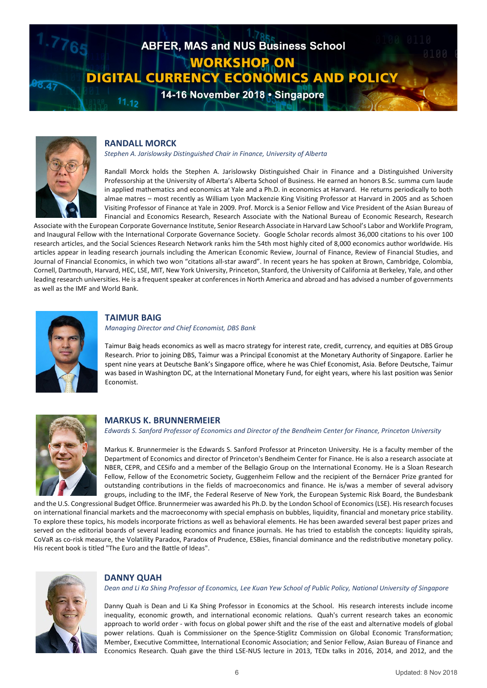



## **RANDALL MORCK**

*Stephen A. Jarislowsky Distinguished Chair in Finance, University of Alberta*

Randall Morck holds the Stephen A. Jarislowsky Distinguished Chair in Finance and a Distinguished University Professorship at the University of Alberta's Alberta School of Business. He earned an honors B.Sc. summa cum laude in applied mathematics and economics at Yale and a Ph.D. in economics at Harvard. He returns periodically to both almae matres – most recently as William Lyon Mackenzie King Visiting Professor at Harvard in 2005 and as Schoen Visiting Professor of Finance at Yale in 2009. Prof. Morck is a Senior Fellow and Vice President of the Asian Bureau of Financial and Economics Research, Research Associate with the National Bureau of Economic Research, Research

Associate with the European Corporate Governance Institute, Senior Research Associate in Harvard Law School's Labor and Worklife Program, and Inaugural Fellow with the International Corporate Governance Society. Google Scholar records almost 36,000 citations to his over 100 research articles, and the Social Sciences Research Network ranks him the 54th most highly cited of 8,000 economics author worldwide. His articles appear in leading research journals including the American Economic Review, Journal of Finance, Review of Financial Studies, and Journal of Financial Economics, in which two won "citations all-star award". In recent years he has spoken at Brown, Cambridge, Colombia, Cornell, Dartmouth, Harvard, HEC, LSE, MIT, New York University, Princeton, Stanford, the University of California at Berkeley, Yale, and other leading research universities. He is a frequent speaker at conferences in North America and abroad and has advised a number of governments as well as the IMF and World Bank.



#### **TAIMUR BAIG**

*Managing Director and Chief Economist, DBS Bank*

Taimur Baig heads economics as well as macro strategy for interest rate, credit, currency, and equities at DBS Group Research. Prior to joining DBS, Taimur was a Principal Economist at the Monetary Authority of Singapore. Earlier he spent nine years at Deutsche Bank's Singapore office, where he was Chief Economist, Asia. Before Deutsche, Taimur was based in Washington DC, at the International Monetary Fund, for eight years, where his last position was Senior Economist.



#### **MARKUS K. BRUNNERMEIER**

*Edwards S. Sanford Professor of Economics and Director of the Bendheim Center for Finance, Princeton University*

Markus K. Brunnermeier is the Edwards S. Sanford Professor at Princeton University. He is a faculty member of the Department of Economics and director of Princeton's Bendheim Center for Finance. He is also a research associate at NBER, CEPR, and CESifo and a member of the Bellagio Group on the International Economy. He is a Sloan Research Fellow, Fellow of the Econometric Society, Guggenheim Fellow and the recipient of the Bernácer Prize granted for outstanding contributions in the fields of macroeconomics and finance. He is/was a member of several advisory groups, including to the IMF, the Federal Reserve of New York, the European Systemic Risk Board, the Bundesbank

and the U.S. Congressional Budget Office. Brunnermeier was awarded his Ph.D. by the London School of Economics (LSE). His research focuses on international financial markets and the macroeconomy with special emphasis on bubbles, liquidity, financial and monetary price stability. To explore these topics, his models incorporate frictions as well as behavioral elements. He has been awarded several best paper prizes and served on the editorial boards of several leading economics and finance journals. He has tried to establish the concepts: liquidity spirals, CoVaR as co-risk measure, the Volatility Paradox, Paradox of Prudence, ESBies, financial dominance and the redistributive monetary policy. His recent book is titled "The Euro and the Battle of Ideas".



#### **DANNY QUAH**

*Dean and Li Ka Shing Professor of Economics, Lee Kuan Yew School of Public Policy, National University of Singapore*

Danny Quah is Dean and Li Ka Shing Professor in Economics at the School. His research interests include income inequality, economic growth, and international economic relations. Quah's current research takes an economic approach to world order - with focus on global power shift and the rise of the east and alternative models of global power relations. Quah is Commissioner on the Spence-Stiglitz Commission on Global Economic Transformation; Member, Executive Committee, International Economic Association; and Senior Fellow, Asian Bureau of Finance and Economics Research. Quah gave the third LSE-NUS lecture in 2013, TEDx talks in 2016, 2014, and 2012, and the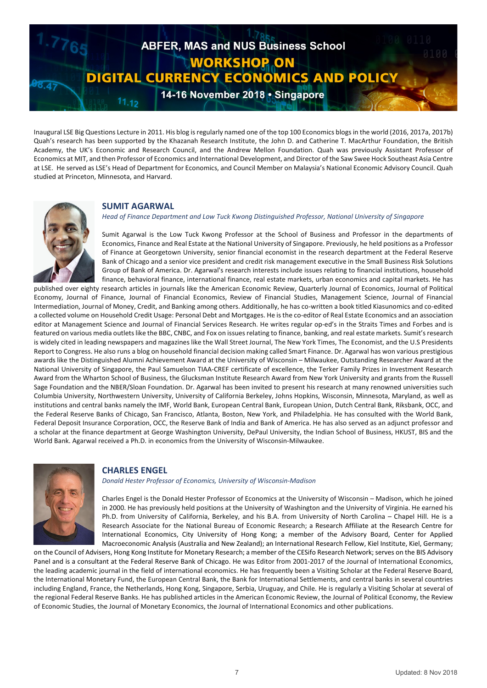

Inaugural LSE Big Questions Lecture in 2011. His blog is regularly named one of the top 100 Economics blogs in the world (2016, 2017a, 2017b) Quah's research has been supported by the Khazanah Research Institute, the John D. and Catherine T. MacArthur Foundation, the British Academy, the UK's Economic and Research Council, and the Andrew Mellon Foundation. Quah was previously Assistant Professor of Economics at MIT, and then Professor of Economics and International Development, and Director of the Saw Swee Hock Southeast Asia Centre at LSE. He served as LSE's Head of Department for Economics, and Council Member on Malaysia's National Economic Advisory Council. Quah studied at Princeton, Minnesota, and Harvard.



# **SUMIT AGARWAL**

*Head of Finance Department and Low Tuck Kwong Distinguished Professor, National University of Singapore*

Sumit Agarwal is the Low Tuck Kwong Professor at the School of Business and Professor in the departments of Economics, Finance and Real Estate at the National University of Singapore. Previously, he held positions as a Professor of Finance at Georgetown University, senior financial economist in the research department at the Federal Reserve Bank of Chicago and a senior vice president and credit risk management executive in the Small Business Risk Solutions Group of Bank of America. Dr. Agarwal's research interests include issues relating to financial institutions, household finance, behavioral finance, international finance, real estate markets, urban economics and capital markets. He has

published over eighty research articles in journals like the American Economic Review, Quarterly Journal of Economics, Journal of Political Economy, Journal of Finance, Journal of Financial Economics, Review of Financial Studies, Management Science, Journal of Financial Intermediation, Journal of Money, Credit, and Banking among others. Additionally, he has co-written a book titled Kiasunomics and co-edited a collected volume on Household Credit Usage: Personal Debt and Mortgages. He is the co-editor of Real Estate Economics and an association editor at Management Science and Journal of Financial Services Research. He writes regular op-ed's in the Straits Times and Forbes and is featured on various media outlets like the BBC, CNBC, and Fox on issues relating to finance, banking, and real estate markets. Sumit's research is widely cited in leading newspapers and magazines like the Wall Street Journal, The New York Times, The Economist, and the U.S Presidents Report to Congress. He also runs a blog on household financial decision making called Smart Finance. Dr. Agarwal has won various prestigious awards like the Distinguished Alumni Achievement Award at the University of Wisconsin – Milwaukee, Outstanding Researcher Award at the National University of Singapore, the Paul Samuelson TIAA-CREF certificate of excellence, the Terker Family Prizes in Investment Research Award from the Wharton School of Business, the Glucksman Institute Research Award from New York University and grants from the Russell Sage Foundation and the NBER/Sloan Foundation. Dr. Agarwal has been invited to present his research at many renowned universities such Columbia University, Northwestern University, University of California Berkeley, Johns Hopkins, Wisconsin, Minnesota, Maryland, as well as institutions and central banks namely the IMF, World Bank, European Central Bank, European Union, Dutch Central Bank, Riksbank, OCC, and the Federal Reserve Banks of Chicago, San Francisco, Atlanta, Boston, New York, and Philadelphia. He has consulted with the World Bank, Federal Deposit Insurance Corporation, OCC, the Reserve Bank of India and Bank of America. He has also served as an adjunct professor and a scholar at the finance department at George Washington University, DePaul University, the Indian School of Business, HKUST, BIS and the World Bank. Agarwal received a Ph.D. in economics from the University of Wisconsin-Milwaukee.



# **CHARLES ENGEL**

*Donald Hester Professor of Economics, University of Wisconsin-Madison* 

Charles Engel is the Donald Hester Professor of Economics at the University of Wisconsin – Madison, which he joined in 2000. He has previously held positions at the University of Washington and the University of Virginia. He earned his Ph.D. from University of California, Berkeley, and his B.A. from University of North Carolina – Chapel Hill. He is a Research Associate for the National Bureau of Economic Research; a Research Affiliate at the Research Centre for International Economics, City University of Hong Kong; a member of the Advisory Board, Center for Applied Macroeconomic Analysis (Australia and New Zealand); an International Research Fellow, Kiel Institute, Kiel, Germany;

on the Council of Advisers, Hong Kong Institute for Monetary Research; a member of the CESifo Research Network; serves on the BIS Advisory Panel and is a consultant at the Federal Reserve Bank of Chicago. He was Editor from 2001-2017 of the Journal of International Economics, the leading academic journal in the field of international economics. He has frequently been a Visiting Scholar at the Federal Reserve Board, the International Monetary Fund, the European Central Bank, the Bank for International Settlements, and central banks in several countries including England, France, the Netherlands, Hong Kong, Singapore, Serbia, Uruguay, and Chile. He is regularly a Visiting Scholar at several of the regional Federal Reserve Banks. He has published articles in the American Economic Review, the Journal of Political Economy, the Review of Economic Studies, the Journal of Monetary Economics, the Journal of International Economics and other publications.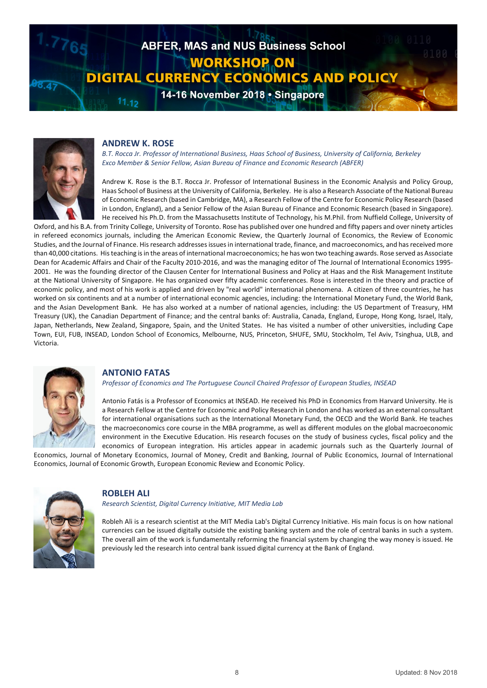



#### **ANDREW K. ROSE**

*B.T. Rocca Jr. Professor of International Business, Haas School of Business, University of California, Berkeley Exco Member & Senior Fellow, Asian Bureau of Finance and Economic Research (ABFER)*

Andrew K. Rose is the B.T. Rocca Jr. Professor of International Business in the Economic Analysis and Policy Group, Haas School of Business at the University of California, Berkeley. He is also a Research Associate of the National Bureau of Economic Research (based in Cambridge, MA), a Research Fellow of the Centre for Economic Policy Research (based in London, England), and a Senior Fellow of the Asian Bureau of Finance and Economic Research (based in Singapore). He received his Ph.D. from the Massachusetts Institute of Technology, his M.Phil. from Nuffield College, University of

Oxford, and his B.A. from Trinity College, University of Toronto. Rose has published over one hundred and fifty papers and over ninety articles in refereed economics journals, including the American Economic Review, the Quarterly Journal of Economics, the Review of Economic Studies, and the Journal of Finance. His research addresses issues in international trade, finance, and macroeconomics, and has received more than 40,000 citations. His teaching is in the areas of international macroeconomics; he has won two teaching awards. Rose served as Associate Dean for Academic Affairs and Chair of the Faculty 2010-2016, and was the managing editor of The Journal of International Economics 1995- 2001. He was the founding director of the Clausen Center for International Business and Policy at Haas and the Risk Management Institute at the National University of Singapore. He has organized over fifty academic conferences. Rose is interested in the theory and practice of economic policy, and most of his work is applied and driven by "real world" international phenomena. A citizen of three countries, he has worked on six continents and at a number of international economic agencies, including: the International Monetary Fund, the World Bank, and the Asian Development Bank. He has also worked at a number of national agencies, including: the US Department of Treasury, HM Treasury (UK), the Canadian Department of Finance; and the central banks of: Australia, Canada, England, Europe, Hong Kong, Israel, Italy, Japan, Netherlands, New Zealand, Singapore, Spain, and the United States. He has visited a number of other universities, including Cape Town, EUI, FUB, INSEAD, London School of Economics, Melbourne, NUS, Princeton, SHUFE, SMU, Stockholm, Tel Aviv, Tsinghua, ULB, and Victoria.



## **ANTONIO FATAS**

*Professor of Economics and The Portuguese Council Chaired Professor of European Studies, INSEAD* 

Antonio Fatás is a Professor of Economics at INSEAD. He received his PhD in Economics from Harvard University. He is a Research Fellow at the Centre for Economic and Policy Research in London and has worked as an external consultant for international organisations such as the International Monetary Fund, the OECD and the World Bank. He teaches the macroeconomics core course in the MBA programme, as well as different modules on the global macroeconomic environment in the Executive Education. His research focuses on the study of business cycles, fiscal policy and the economics of European integration. His articles appear in academic journals such as the Quarterly Journal of

Economics, Journal of Monetary Economics, Journal of Money, Credit and Banking, Journal of Public Economics, Journal of International Economics, Journal of Economic Growth, European Economic Review and Economic Policy.



#### **ROBLEH ALI**

*Research Scientist, Digital Currency Initiative, MIT Media Lab*

Robleh Ali is a research scientist at the MIT Media Lab's Digital Currency Initiative. His main focus is on how national currencies can be issued digitally outside the existing banking system and the role of central banks in such a system. The overall aim of the work is fundamentally reforming the financial system by changing the way money is issued. He previously led the research into central bank issued digital currency at the Bank of England.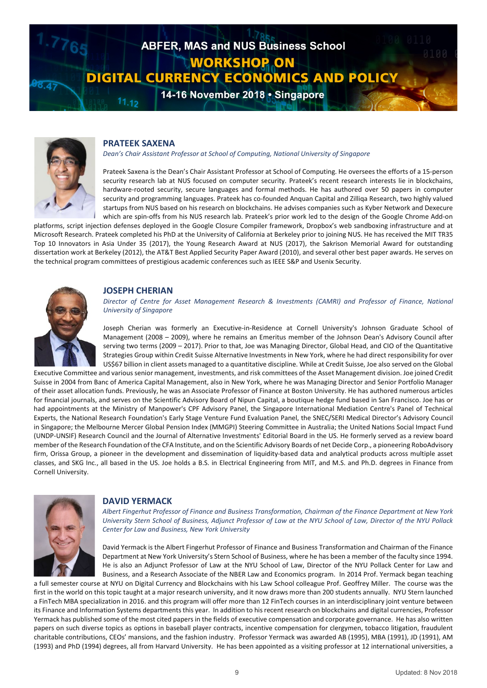



## **PRATEEK SAXENA**

*Dean's Chair Assistant Professor at School of Computing, National University of Singapore*

Prateek Saxena is the Dean's Chair Assistant Professor at School of Computing. He oversees the efforts of a 15-person security research lab at NUS focused on computer security. Prateek's recent research interests lie in blockchains, hardware-rooted security, secure languages and formal methods. He has authored over 50 papers in computer security and programming languages. Prateek has co-founded Anquan Capital and Zilliqa Research, two highly valued startups from NUS based on his research on blockchains. He advises companies such as Kyber Network and Dexecure which are spin-offs from his NUS research lab. Prateek's prior work led to the design of the Google Chrome Add-on

platforms, script injection defenses deployed in the Google Closure Compiler framework, Dropbox's web sandboxing infrastructure and at Microsoft Research. Prateek completed his PhD at the University of California at Berkeley prior to joining NUS. He has received the MIT TR35 Top 10 Innovators in Asia Under 35 (2017), the Young Research Award at NUS (2017), the Sakrison Memorial Award for outstanding dissertation work at Berkeley (2012), the AT&T Best Applied Security Paper Award (2010), and several other best paper awards. He serves on the technical program committees of prestigious academic conferences such as IEEE S&P and Usenix Security.



#### **JOSEPH CHERIAN**

*Director of Centre for Asset Management Research & Investments (CAMRI) and Professor of Finance, National University of Singapore*

Joseph Cherian was formerly an Executive-in-Residence at Cornell University's Johnson Graduate School of Management (2008 – 2009), where he remains an Emeritus member of the Johnson Dean's Advisory Council after serving two terms (2009 – 2017). Prior to that, Joe was Managing Director, Global Head, and CIO of the Quantitative Strategies Group within Credit Suisse Alternative Investments in New York, where he had direct responsibility for over US\$67 billion in client assets managed to a quantitative discipline. While at Credit Suisse, Joe also served on the Global

Executive Committee and various senior management, investments, and risk committees of the Asset Management division. Joe joined Credit Suisse in 2004 from Banc of America Capital Management, also in New York, where he was Managing Director and Senior Portfolio Manager of their asset allocation funds. Previously, he was an Associate Professor of Finance at Boston University. He has authored numerous articles for financial journals, and serves on the Scientific Advisory Board of Nipun Capital, a boutique hedge fund based in San Francisco. Joe has or had appointments at the Ministry of Manpower's CPF Advisory Panel, the Singapore International Mediation Centre's Panel of Technical Experts, the National Research Foundation's Early Stage Venture Fund Evaluation Panel, the SNEC/SERI Medical Director's Advisory Council in Singapore; the Melbourne Mercer Global Pension Index (MMGPI) Steering Committee in Australia; the United Nations Social Impact Fund (UNDP-UNSIF) Research Council and the Journal of Alternative Investments' Editorial Board in the US. He formerly served as a review board member of the Research Foundation of the CFA Institute, and on the Scientific Advisory Boards of net Decide Corp., a pioneering RoboAdvisory firm, Orissa Group, a pioneer in the development and dissemination of liquidity-based data and analytical products across multiple asset classes, and SKG Inc., all based in the US. Joe holds a B.S. in Electrical Engineering from MIT, and M.S. and Ph.D. degrees in Finance from Cornell University.



# **DAVID YERMACK**

*Albert Fingerhut Professor of Finance and Business Transformation, Chairman of the Finance Department at New York University Stern School of Business, Adjunct Professor of Law at the NYU School of Law, Director of the NYU Pollack Center for Law and Business, New York University*

David Yermack is the Albert Fingerhut Professor of Finance and Business Transformation and Chairman of the Finance Department at New York University's Stern School of Business, where he has been a member of the faculty since 1994. He is also an Adjunct Professor of Law at the NYU School of Law, Director of the NYU Pollack Center for Law and Business, and a Research Associate of the NBER Law and Economics program. In 2014 Prof. Yermack began teaching

a full semester course at NYU on Digital Currency and Blockchains with his Law School colleague Prof. Geoffrey Miller. The course was the first in the world on this topic taught at a major research university, and it now draws more than 200 students annually. NYU Stern launched a FinTech MBA specialization in 2016. and this program will offer more than 12 FinTech courses in an interdisciplinary joint venture between its Finance and Information Systems departments this year. In addition to his recent research on blockchains and digital currencies, Professor Yermack has published some of the most cited papers in the fields of executive compensation and corporate governance. He has also written papers on such diverse topics as options in baseball player contracts, incentive compensation for clergymen, tobacco litigation, fraudulent charitable contributions, CEOs' mansions, and the fashion industry. Professor Yermack was awarded AB (1995), MBA (1991), JD (1991), AM (1993) and PhD (1994) degrees, all from Harvard University. He has been appointed as a visiting professor at 12 international universities, a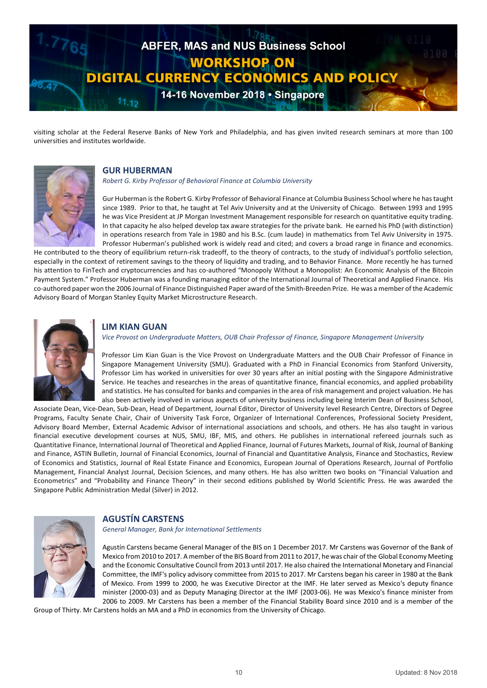

visiting scholar at the Federal Reserve Banks of New York and Philadelphia, and has given invited research seminars at more than 100 universities and institutes worldwide.



#### **GUR HUBERMAN**

*Robert G. Kirby Professor of Behavioral Finance at Columbia University*

Gur Huberman is the Robert G. Kirby Professor of Behavioral Finance at Columbia Business School where he has taught since 1989. Prior to that, he taught at Tel Aviv University and at the University of Chicago. Between 1993 and 1995 he was Vice President at JP Morgan Investment Management responsible for research on quantitative equity trading. In that capacity he also helped develop tax aware strategies for the private bank. He earned his PhD (with distinction) in operations research from Yale in 1980 and his B.Sc. (cum laude) in mathematics from Tel Aviv University in 1975. Professor Huberman's published work is widely read and cited; and covers a broad range in finance and economics.

He contributed to the theory of equilibrium return-risk tradeoff, to the theory of contracts, to the study of individual's portfolio selection, especially in the context of retirement savings to the theory of liquidity and trading, and to Behavior Finance. More recently he has turned his attention to FinTech and cryptocurrencies and has co-authored "Monopoly Without a Monopolist: An Economic Analysis of the Bitcoin Payment System." Professor Huberman was a founding managing editor of the International Journal of Theoretical and Applied Finance. His co-authored paper won the 2006 Journal of Finance Distinguished Paper award of the Smith-Breeden Prize. He was a member of the Academic Advisory Board of Morgan Stanley Equity Market Microstructure Research.



# **LIM KIAN GUAN**

#### *Vice Provost on Undergraduate Matters, OUB Chair Professor of Finance, Singapore Management University*

Professor Lim Kian Guan is the Vice Provost on Undergraduate Matters and the OUB Chair Professor of Finance in Singapore Management University (SMU). Graduated with a PhD in Financial Economics from Stanford University, Professor Lim has worked in universities for over 30 years after an initial posting with the Singapore Administrative Service. He teaches and researches in the areas of quantitative finance, financial economics, and applied probability and statistics. He has consulted for banks and companies in the area of risk management and project valuation. He has also been actively involved in various aspects of university business including being Interim Dean of Business School,

Associate Dean, Vice-Dean, Sub-Dean, Head of Department, Journal Editor, Director of University level Research Centre, Directors of Degree Programs, Faculty Senate Chair, Chair of University Task Force, Organizer of International Conferences, Professional Society President, Advisory Board Member, External Academic Advisor of international associations and schools, and others. He has also taught in various financial executive development courses at NUS, SMU, IBF, MIS, and others. He publishes in international refereed journals such as Quantitative Finance, International Journal of Theoretical and Applied Finance, Journal of Futures Markets, Journal of Risk, Journal of Banking and Finance, ASTIN Bulletin, Journal of Financial Economics, Journal of Financial and Quantitative Analysis, Finance and Stochastics, Review of Economics and Statistics, Journal of Real Estate Finance and Economics, European Journal of Operations Research, Journal of Portfolio Management, Financial Analyst Journal, Decision Sciences, and many others. He has also written two books on "Financial Valuation and Econometrics" and "Probability and Finance Theory" in their second editions published by World Scientific Press. He was awarded the Singapore Public Administration Medal (Silver) in 2012.



# **AGUSTÍN CARSTENS**

*General Manager, Bank for International Settlements*

Agustín Carstens became General Manager of the BIS on 1 December 2017. Mr Carstens was Governor of the Bank of Mexico from 2010 to 2017. A member of the BIS Board from 2011 to 2017, he was chair of the Global Economy Meeting and the Economic Consultative Council from 2013 until 2017. He also chaired the International Monetary and Financial Committee, the IMF's policy advisory committee from 2015 to 2017. Mr Carstens began his career in 1980 at the Bank of Mexico. From 1999 to 2000, he was Executive Director at the IMF. He later served as Mexico's deputy finance minister (2000-03) and as Deputy Managing Director at the IMF (2003-06). He was Mexico's finance minister from 2006 to 2009. Mr Carstens has been a member of the Financial Stability Board since 2010 and is a member of the

Group of Thirty. Mr Carstens holds an MA and a PhD in economics from the University of Chicago.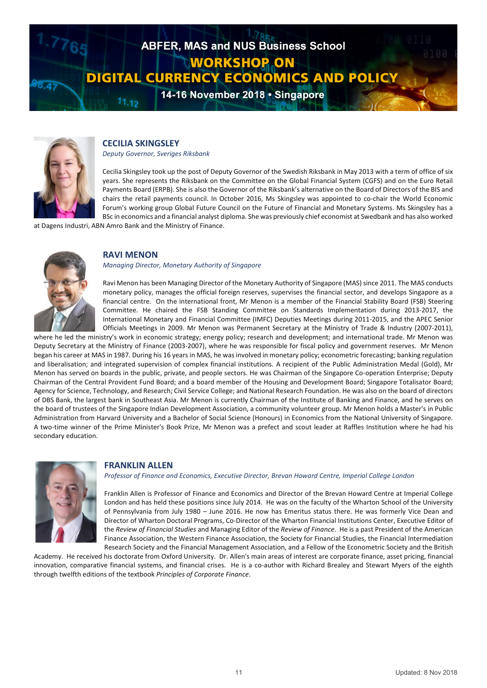



# **CECILIA SKINGSLEY**

*Deputy Governor, Sveriges Riksbank*

Cecilia Skingsley took up the post of Deputy Governor of the Swedish Riksbank in May 2013 with a term of office of six years. She represents the Riksbank on the Committee on the Global Financial System (CGFS) and on the Euro Retail Payments Board (ERPB). She is also the Governor of the Riksbank's alternative on the Board of Directors of the BIS and chairs the retail payments council. In October 2016, Ms Skingsley was appointed to co-chair the World Economic Forum's working group Global Future Council on the Future of Financial and Monetary Systems. Ms Skingsley has a BSc in economics and a financial analyst diploma. She was previously chief economist at Swedbank and has also worked

at Dagens Industri, ABN Amro Bank and the Ministry of Finance.



# **RAVI MENON**

#### *Managing Director, Monetary Authority of Singapore*

Ravi Menon has been Managing Director of the Monetary Authority of Singapore (MAS) since 2011. The MAS conducts monetary policy, manages the official foreign reserves, supervises the financial sector, and develops Singapore as a financial centre. On the international front, Mr Menon is a member of the Financial Stability Board (FSB) Steering Committee. He chaired the FSB Standing Committee on Standards Implementation during 2013-2017, the International Monetary and Financial Committee (IMFC) Deputies Meetings during 2011-2015, and the APEC Senior Officials Meetings in 2009. Mr Menon was Permanent Secretary at the Ministry of Trade & Industry (2007-2011),

where he led the ministry's work in economic strategy; energy policy; research and development; and international trade. Mr Menon was Deputy Secretary at the Ministry of Finance (2003-2007), where he was responsible for fiscal policy and government reserves. Mr Menon began his career at MAS in 1987. During his 16 years in MAS, he was involved in monetary policy; econometric forecasting; banking regulation and liberalisation; and integrated supervision of complex financial institutions. A recipient of the Public Administration Medal (Gold), Mr Menon has served on boards in the public, private, and people sectors. He was Chairman of the Singapore Co-operation Enterprise; Deputy Chairman of the Central Provident Fund Board; and a board member of the Housing and Development Board; Singapore Totalisator Board; Agency for Science, Technology, and Research; Civil Service College; and National Research Foundation. He was also on the board of directors of DBS Bank, the largest bank in Southeast Asia. Mr Menon is currently Chairman of the Institute of Banking and Finance, and he serves on the board of trustees of the Singapore Indian Development Association, a community volunteer group. Mr Menon holds a Master's in Public Administration from Harvard University and a Bachelor of Social Science (Honours) in Economics from the National University of Singapore. A two-time winner of the Prime Minister's Book Prize, Mr Menon was a prefect and scout leader at Raffles Institution where he had his secondary education.



# **FRANKLIN ALLEN**

*Professor of Finance and Economics, Executive Director, Brevan Howard Centre, Imperial College London*

Franklin Allen is Professor of Finance and Economics and Director of the Brevan Howard Centre at Imperial College London and has held these positions since July 2014. He was on the faculty of the Wharton School of the University of Pennsylvania from July 1980 – June 2016. He now has Emeritus status there. He was formerly Vice Dean and Director of Wharton Doctoral Programs, Co-Director of the Wharton Financial Institutions Center, Executive Editor of the *Review of Financial Studies* and Managing Editor of the *Review of Finance*. He is a past President of the American Finance Association, the Western Finance Association, the Society for Financial Studies, the Financial Intermediation Research Society and the Financial Management Association, and a Fellow of the Econometric Society and the British

Academy. He received his doctorate from Oxford University. Dr. Allen's main areas of interest are corporate finance, asset pricing, financial innovation, comparative financial systems, and financial crises. He is a co-author with Richard Brealey and Stewart Myers of the eighth through twelfth editions of the textbook *Principles of Corporate Finance*.